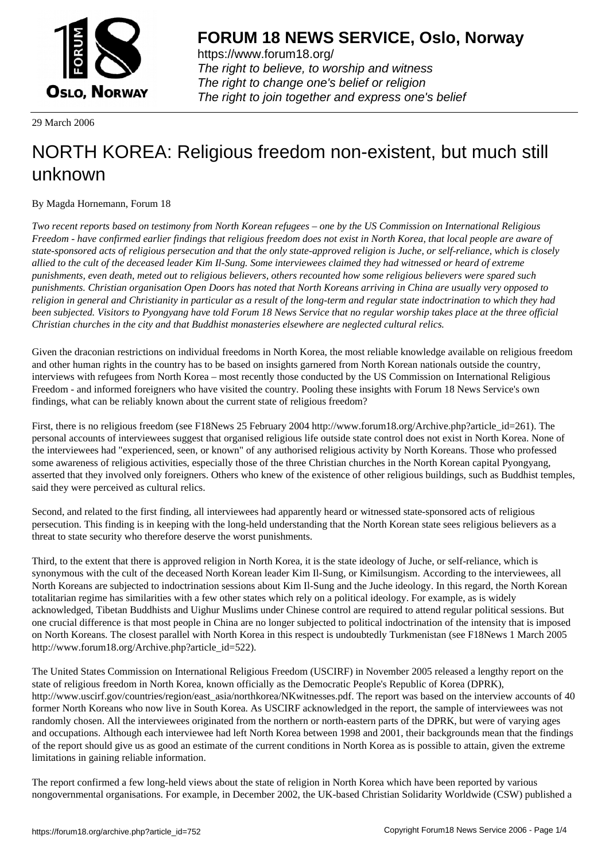

https://www.forum18.org/ The right to believe, to worship and witness The right to change one's belief or religion [The right to join together a](https://www.forum18.org/)nd express one's belief

29 March 2006

## [NORTH KOREA](https://www.forum18.org): Religious freedom non-existent, but much still unknown

By Magda Hornemann, Forum 18

*Two recent reports based on testimony from North Korean refugees – one by the US Commission on International Religious Freedom - have confirmed earlier findings that religious freedom does not exist in North Korea, that local people are aware of state-sponsored acts of religious persecution and that the only state-approved religion is Juche, or self-reliance, which is closely allied to the cult of the deceased leader Kim Il-Sung. Some interviewees claimed they had witnessed or heard of extreme punishments, even death, meted out to religious believers, others recounted how some religious believers were spared such punishments. Christian organisation Open Doors has noted that North Koreans arriving in China are usually very opposed to religion in general and Christianity in particular as a result of the long-term and regular state indoctrination to which they had been subjected. Visitors to Pyongyang have told Forum 18 News Service that no regular worship takes place at the three official Christian churches in the city and that Buddhist monasteries elsewhere are neglected cultural relics.*

Given the draconian restrictions on individual freedoms in North Korea, the most reliable knowledge available on religious freedom and other human rights in the country has to be based on insights garnered from North Korean nationals outside the country, interviews with refugees from North Korea – most recently those conducted by the US Commission on International Religious Freedom - and informed foreigners who have visited the country. Pooling these insights with Forum 18 News Service's own findings, what can be reliably known about the current state of religious freedom?

First, there is no religious freedom (see F18News 25 February 2004 http://www.forum18.org/Archive.php?article\_id=261). The personal accounts of interviewees suggest that organised religious life outside state control does not exist in North Korea. None of the interviewees had "experienced, seen, or known" of any authorised religious activity by North Koreans. Those who professed some awareness of religious activities, especially those of the three Christian churches in the North Korean capital Pyongyang, asserted that they involved only foreigners. Others who knew of the existence of other religious buildings, such as Buddhist temples, said they were perceived as cultural relics.

Second, and related to the first finding, all interviewees had apparently heard or witnessed state-sponsored acts of religious persecution. This finding is in keeping with the long-held understanding that the North Korean state sees religious believers as a threat to state security who therefore deserve the worst punishments.

Third, to the extent that there is approved religion in North Korea, it is the state ideology of Juche, or self-reliance, which is synonymous with the cult of the deceased North Korean leader Kim Il-Sung, or Kimilsungism. According to the interviewees, all North Koreans are subjected to indoctrination sessions about Kim Il-Sung and the Juche ideology. In this regard, the North Korean totalitarian regime has similarities with a few other states which rely on a political ideology. For example, as is widely acknowledged, Tibetan Buddhists and Uighur Muslims under Chinese control are required to attend regular political sessions. But one crucial difference is that most people in China are no longer subjected to political indoctrination of the intensity that is imposed on North Koreans. The closest parallel with North Korea in this respect is undoubtedly Turkmenistan (see F18News 1 March 2005 http://www.forum18.org/Archive.php?article\_id=522).

The United States Commission on International Religious Freedom (USCIRF) in November 2005 released a lengthy report on the state of religious freedom in North Korea, known officially as the Democratic People's Republic of Korea (DPRK), http://www.uscirf.gov/countries/region/east\_asia/northkorea/NKwitnesses.pdf. The report was based on the interview accounts of 40 former North Koreans who now live in South Korea. As USCIRF acknowledged in the report, the sample of interviewees was not randomly chosen. All the interviewees originated from the northern or north-eastern parts of the DPRK, but were of varying ages and occupations. Although each interviewee had left North Korea between 1998 and 2001, their backgrounds mean that the findings of the report should give us as good an estimate of the current conditions in North Korea as is possible to attain, given the extreme limitations in gaining reliable information.

The report confirmed a few long-held views about the state of religion in North Korea which have been reported by various nongovernmental organisations. For example, in December 2002, the UK-based Christian Solidarity Worldwide (CSW) published a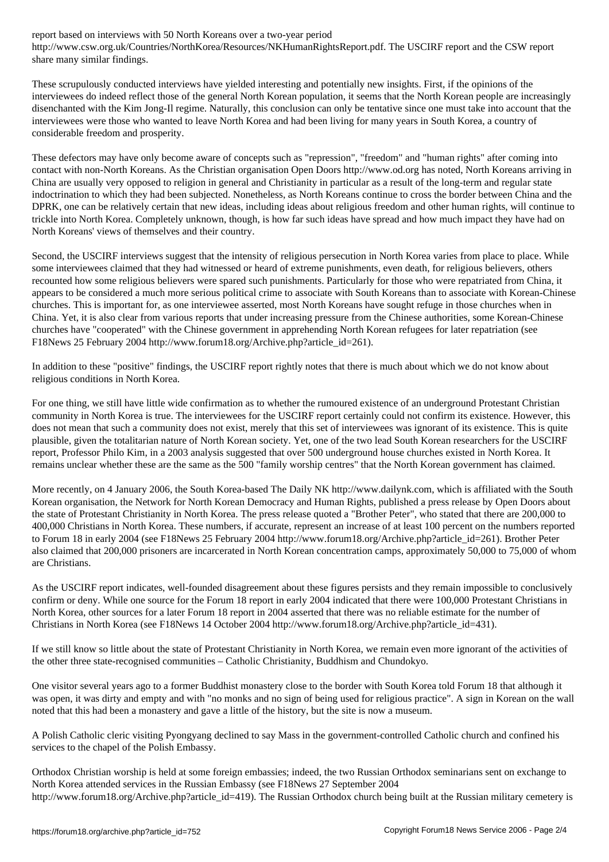http://www.csw.org.uk/Countries/NorthKorea/Resources/NKHumanRightsReport.pdf. The USCIRF report and the CSW report share many similar findings.

These scrupulously conducted interviews have yielded interesting and potentially new insights. First, if the opinions of the interviewees do indeed reflect those of the general North Korean population, it seems that the North Korean people are increasingly disenchanted with the Kim Jong-Il regime. Naturally, this conclusion can only be tentative since one must take into account that the interviewees were those who wanted to leave North Korea and had been living for many years in South Korea, a country of considerable freedom and prosperity.

These defectors may have only become aware of concepts such as "repression", "freedom" and "human rights" after coming into contact with non-North Koreans. As the Christian organisation Open Doors http://www.od.org has noted, North Koreans arriving in China are usually very opposed to religion in general and Christianity in particular as a result of the long-term and regular state indoctrination to which they had been subjected. Nonetheless, as North Koreans continue to cross the border between China and the DPRK, one can be relatively certain that new ideas, including ideas about religious freedom and other human rights, will continue to trickle into North Korea. Completely unknown, though, is how far such ideas have spread and how much impact they have had on North Koreans' views of themselves and their country.

Second, the USCIRF interviews suggest that the intensity of religious persecution in North Korea varies from place to place. While some interviewees claimed that they had witnessed or heard of extreme punishments, even death, for religious believers, others recounted how some religious believers were spared such punishments. Particularly for those who were repatriated from China, it appears to be considered a much more serious political crime to associate with South Koreans than to associate with Korean-Chinese churches. This is important for, as one interviewee asserted, most North Koreans have sought refuge in those churches when in China. Yet, it is also clear from various reports that under increasing pressure from the Chinese authorities, some Korean-Chinese churches have "cooperated" with the Chinese government in apprehending North Korean refugees for later repatriation (see F18News 25 February 2004 http://www.forum18.org/Archive.php?article\_id=261).

In addition to these "positive" findings, the USCIRF report rightly notes that there is much about which we do not know about religious conditions in North Korea.

For one thing, we still have little wide confirmation as to whether the rumoured existence of an underground Protestant Christian community in North Korea is true. The interviewees for the USCIRF report certainly could not confirm its existence. However, this does not mean that such a community does not exist, merely that this set of interviewees was ignorant of its existence. This is quite plausible, given the totalitarian nature of North Korean society. Yet, one of the two lead South Korean researchers for the USCIRF report, Professor Philo Kim, in a 2003 analysis suggested that over 500 underground house churches existed in North Korea. It remains unclear whether these are the same as the 500 "family worship centres" that the North Korean government has claimed.

More recently, on 4 January 2006, the South Korea-based The Daily NK http://www.dailynk.com, which is affiliated with the South Korean organisation, the Network for North Korean Democracy and Human Rights, published a press release by Open Doors about the state of Protestant Christianity in North Korea. The press release quoted a "Brother Peter", who stated that there are 200,000 to 400,000 Christians in North Korea. These numbers, if accurate, represent an increase of at least 100 percent on the numbers reported to Forum 18 in early 2004 (see F18News 25 February 2004 http://www.forum18.org/Archive.php?article\_id=261). Brother Peter also claimed that 200,000 prisoners are incarcerated in North Korean concentration camps, approximately 50,000 to 75,000 of whom are Christians.

As the USCIRF report indicates, well-founded disagreement about these figures persists and they remain impossible to conclusively confirm or deny. While one source for the Forum 18 report in early 2004 indicated that there were 100,000 Protestant Christians in North Korea, other sources for a later Forum 18 report in 2004 asserted that there was no reliable estimate for the number of Christians in North Korea (see F18News 14 October 2004 http://www.forum18.org/Archive.php?article\_id=431).

If we still know so little about the state of Protestant Christianity in North Korea, we remain even more ignorant of the activities of the other three state-recognised communities – Catholic Christianity, Buddhism and Chundokyo.

One visitor several years ago to a former Buddhist monastery close to the border with South Korea told Forum 18 that although it was open, it was dirty and empty and with "no monks and no sign of being used for religious practice". A sign in Korean on the wall noted that this had been a monastery and gave a little of the history, but the site is now a museum.

A Polish Catholic cleric visiting Pyongyang declined to say Mass in the government-controlled Catholic church and confined his services to the chapel of the Polish Embassy.

Orthodox Christian worship is held at some foreign embassies; indeed, the two Russian Orthodox seminarians sent on exchange to North Korea attended services in the Russian Embassy (see F18News 27 September 2004 http://www.forum18.org/Archive.php?article\_id=419). The Russian Orthodox church being built at the Russian military cemetery is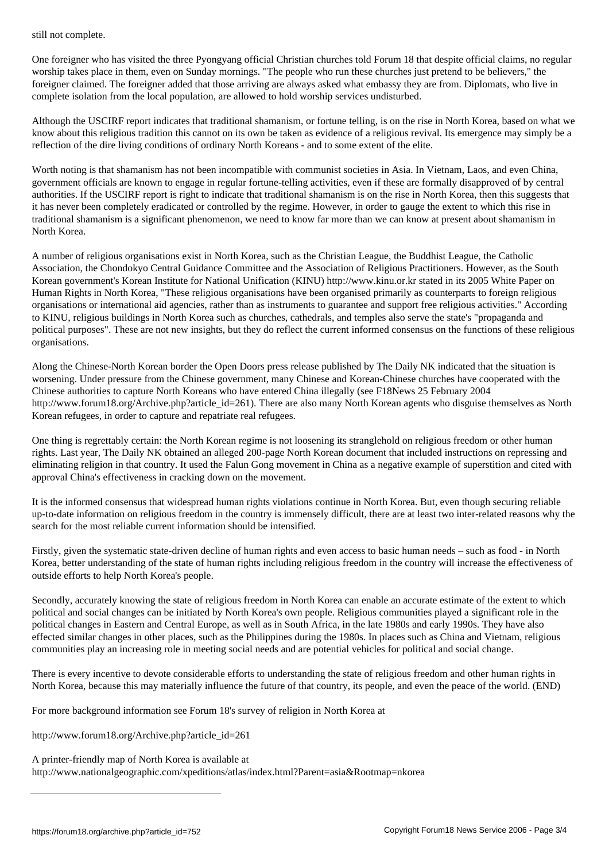One foreigner who has visited the three Pyongyang official Christian churches told Forum 18 that despite official claims, no regular worship takes place in them, even on Sunday mornings. "The people who run these churches just pretend to be believers," the foreigner claimed. The foreigner added that those arriving are always asked what embassy they are from. Diplomats, who live in complete isolation from the local population, are allowed to hold worship services undisturbed.

Although the USCIRF report indicates that traditional shamanism, or fortune telling, is on the rise in North Korea, based on what we know about this religious tradition this cannot on its own be taken as evidence of a religious revival. Its emergence may simply be a reflection of the dire living conditions of ordinary North Koreans - and to some extent of the elite.

Worth noting is that shamanism has not been incompatible with communist societies in Asia. In Vietnam, Laos, and even China, government officials are known to engage in regular fortune-telling activities, even if these are formally disapproved of by central authorities. If the USCIRF report is right to indicate that traditional shamanism is on the rise in North Korea, then this suggests that it has never been completely eradicated or controlled by the regime. However, in order to gauge the extent to which this rise in traditional shamanism is a significant phenomenon, we need to know far more than we can know at present about shamanism in North Korea.

A number of religious organisations exist in North Korea, such as the Christian League, the Buddhist League, the Catholic Association, the Chondokyo Central Guidance Committee and the Association of Religious Practitioners. However, as the South Korean government's Korean Institute for National Unification (KINU) http://www.kinu.or.kr stated in its 2005 White Paper on Human Rights in North Korea, "These religious organisations have been organised primarily as counterparts to foreign religious organisations or international aid agencies, rather than as instruments to guarantee and support free religious activities." According to KINU, religious buildings in North Korea such as churches, cathedrals, and temples also serve the state's "propaganda and political purposes". These are not new insights, but they do reflect the current informed consensus on the functions of these religious organisations.

Along the Chinese-North Korean border the Open Doors press release published by The Daily NK indicated that the situation is worsening. Under pressure from the Chinese government, many Chinese and Korean-Chinese churches have cooperated with the Chinese authorities to capture North Koreans who have entered China illegally (see F18News 25 February 2004 http://www.forum18.org/Archive.php?article\_id=261). There are also many North Korean agents who disguise themselves as North Korean refugees, in order to capture and repatriate real refugees.

One thing is regrettably certain: the North Korean regime is not loosening its stranglehold on religious freedom or other human rights. Last year, The Daily NK obtained an alleged 200-page North Korean document that included instructions on repressing and eliminating religion in that country. It used the Falun Gong movement in China as a negative example of superstition and cited with approval China's effectiveness in cracking down on the movement.

It is the informed consensus that widespread human rights violations continue in North Korea. But, even though securing reliable up-to-date information on religious freedom in the country is immensely difficult, there are at least two inter-related reasons why the search for the most reliable current information should be intensified.

Firstly, given the systematic state-driven decline of human rights and even access to basic human needs – such as food - in North Korea, better understanding of the state of human rights including religious freedom in the country will increase the effectiveness of outside efforts to help North Korea's people.

Secondly, accurately knowing the state of religious freedom in North Korea can enable an accurate estimate of the extent to which political and social changes can be initiated by North Korea's own people. Religious communities played a significant role in the political changes in Eastern and Central Europe, as well as in South Africa, in the late 1980s and early 1990s. They have also effected similar changes in other places, such as the Philippines during the 1980s. In places such as China and Vietnam, religious communities play an increasing role in meeting social needs and are potential vehicles for political and social change.

There is every incentive to devote considerable efforts to understanding the state of religious freedom and other human rights in North Korea, because this may materially influence the future of that country, its people, and even the peace of the world. (END)

For more background information see Forum 18's survey of religion in North Korea at

http://www.forum18.org/Archive.php?article\_id=261

A printer-friendly map of North Korea is available at http://www.nationalgeographic.com/xpeditions/atlas/index.html?Parent=asia&Rootmap=nkorea